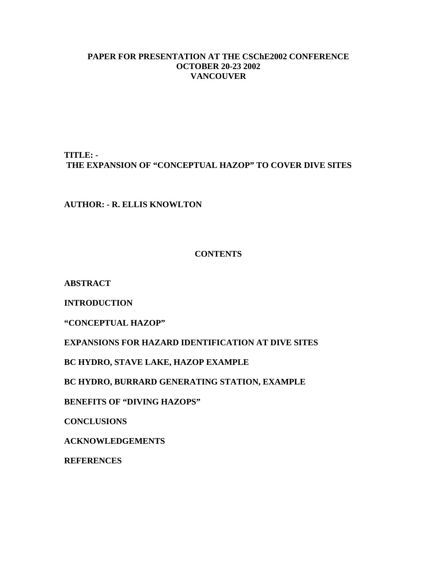## **PAPER FOR PRESENTATION AT THE CSChE2002 CONFERENCE OCTOBER 20-23 2002 VANCOUVER**

**TITLE: - THE EXPANSION OF "CONCEPTUAL HAZOP" TO COVER DIVE SITES**

**AUTHOR: - R. ELLIS KNOWLTON**

## **CONTENTS**

**ABSTRACT**

**INTRODUCTION**

**"CONCEPTUAL HAZOP"**

**EXPANSIONS FOR HAZARD IDENTIFICATION AT DIVE SITES**

**BC HYDRO, STAVE LAKE, HAZOP EXAMPLE**

**BC HYDRO, BURRARD GENERATING STATION, EXAMPLE**

**BENEFITS OF "DIVING HAZOPS"**

**CONCLUSIONS**

**ACKNOWLEDGEMENTS**

**REFERENCES**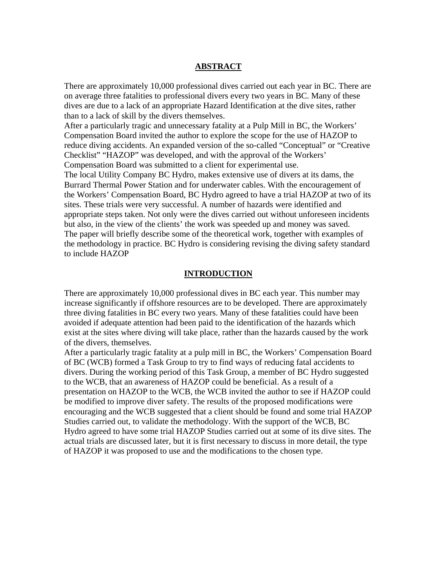#### **ABSTRACT**

There are approximately 10,000 professional dives carried out each year in BC. There are on average three fatalities to professional divers every two years in BC. Many of these dives are due to a lack of an appropriate Hazard Identification at the dive sites, rather than to a lack of skill by the divers themselves.

After a particularly tragic and unnecessary fatality at a Pulp Mill in BC, the Workers' Compensation Board invited the author to explore the scope for the use of HAZOP to reduce diving accidents. An expanded version of the so-called "Conceptual" or "Creative Checklist" "HAZOP" was developed, and with the approval of the Workers' Compensation Board was submitted to a client for experimental use.

The local Utility Company BC Hydro, makes extensive use of divers at its dams, the Burrard Thermal Power Station and for underwater cables. With the encouragement of the Workers' Compensation Board, BC Hydro agreed to have a trial HAZOP at two of its sites. These trials were very successful. A number of hazards were identified and appropriate steps taken. Not only were the dives carried out without unforeseen incidents but also, in the view of the clients' the work was speeded up and money was saved. The paper will briefly describe some of the theoretical work, together with examples of the methodology in practice. BC Hydro is considering revising the diving safety standard to include HAZOP

#### **INTRODUCTION**

There are approximately 10,000 professional dives in BC each year. This number may increase significantly if offshore resources are to be developed. There are approximately three diving fatalities in BC every two years. Many of these fatalities could have been avoided if adequate attention had been paid to the identification of the hazards which exist at the sites where diving will take place, rather than the hazards caused by the work of the divers, themselves.

After a particularly tragic fatality at a pulp mill in BC, the Workers' Compensation Board of BC (WCB) formed a Task Group to try to find ways of reducing fatal accidents to divers. During the working period of this Task Group, a member of BC Hydro suggested to the WCB, that an awareness of HAZOP could be beneficial. As a result of a presentation on HAZOP to the WCB, the WCB invited the author to see if HAZOP could be modified to improve diver safety. The results of the proposed modifications were encouraging and the WCB suggested that a client should be found and some trial HAZOP Studies carried out, to validate the methodology. With the support of the WCB, BC Hydro agreed to have some trial HAZOP Studies carried out at some of its dive sites. The actual trials are discussed later, but it is first necessary to discuss in more detail, the type of HAZOP it was proposed to use and the modifications to the chosen type.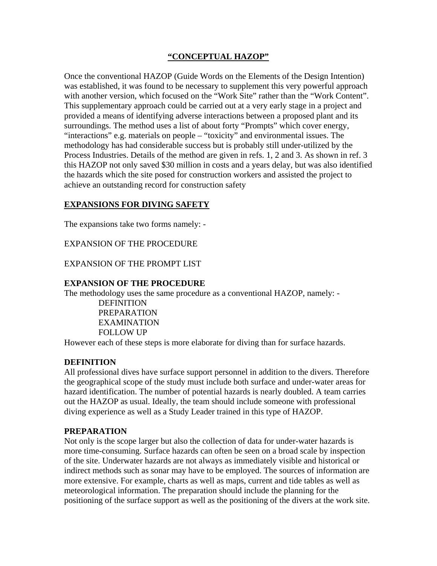## **"CONCEPTUAL HAZOP"**

Once the conventional HAZOP (Guide Words on the Elements of the Design Intention) was established, it was found to be necessary to supplement this very powerful approach with another version, which focused on the "Work Site" rather than the "Work Content". This supplementary approach could be carried out at a very early stage in a project and provided a means of identifying adverse interactions between a proposed plant and its surroundings. The method uses a list of about forty "Prompts" which cover energy, "interactions" e.g. materials on people – "toxicity" and environmental issues. The methodology has had considerable success but is probably still under-utilized by the Process Industries. Details of the method are given in refs. 1, 2 and 3. As shown in ref. 3 this HAZOP not only saved \$30 million in costs and a years delay, but was also identified the hazards which the site posed for construction workers and assisted the project to achieve an outstanding record for construction safety

#### **EXPANSIONS FOR DIVING SAFETY**

The expansions take two forms namely: -

EXPANSION OF THE PROCEDURE

#### EXPANSION OF THE PROMPT LIST

#### **EXPANSION OF THE PROCEDURE**

The methodology uses the same procedure as a conventional HAZOP, namely: -

 DEFINITION PREPARATION EXAMINATION FOLLOW UP

However each of these steps is more elaborate for diving than for surface hazards.

#### **DEFINITION**

All professional dives have surface support personnel in addition to the divers. Therefore the geographical scope of the study must include both surface and under-water areas for hazard identification. The number of potential hazards is nearly doubled. A team carries out the HAZOP as usual. Ideally, the team should include someone with professional diving experience as well as a Study Leader trained in this type of HAZOP.

#### **PREPARATION**

Not only is the scope larger but also the collection of data for under-water hazards is more time-consuming. Surface hazards can often be seen on a broad scale by inspection of the site. Underwater hazards are not always as immediately visible and historical or indirect methods such as sonar may have to be employed. The sources of information are more extensive. For example, charts as well as maps, current and tide tables as well as meteorological information. The preparation should include the planning for the positioning of the surface support as well as the positioning of the divers at the work site.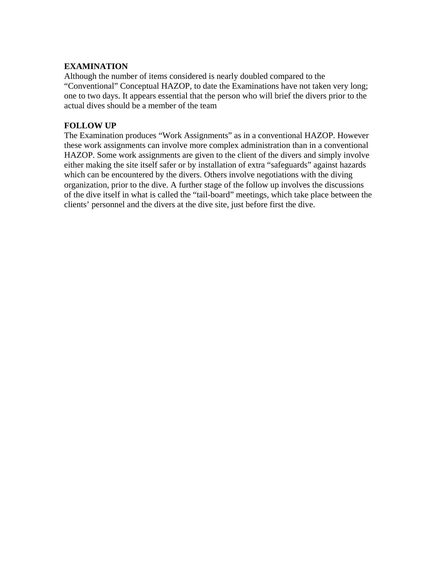## **EXAMINATION**

Although the number of items considered is nearly doubled compared to the "Conventional" Conceptual HAZOP, to date the Examinations have not taken very long; one to two days. It appears essential that the person who will brief the divers prior to the actual dives should be a member of the team

## **FOLLOW UP**

The Examination produces "Work Assignments" as in a conventional HAZOP. However these work assignments can involve more complex administration than in a conventional HAZOP. Some work assignments are given to the client of the divers and simply involve either making the site itself safer or by installation of extra "safeguards" against hazards which can be encountered by the divers. Others involve negotiations with the diving organization, prior to the dive. A further stage of the follow up involves the discussions of the dive itself in what is called the "tail-board" meetings, which take place between the clients' personnel and the divers at the dive site, just before first the dive.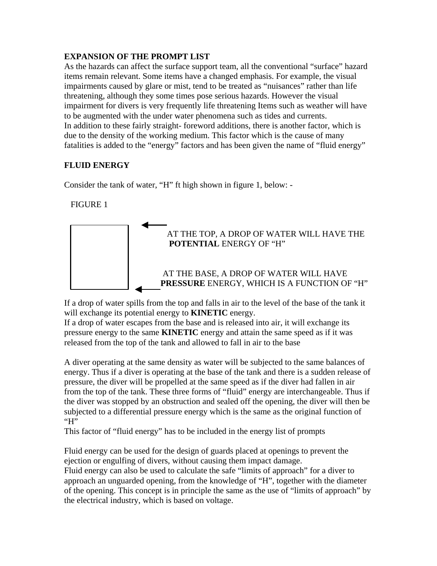## **EXPANSION OF THE PROMPT LIST**

As the hazards can affect the surface support team, all the conventional "surface" hazard items remain relevant. Some items have a changed emphasis. For example, the visual impairments caused by glare or mist, tend to be treated as "nuisances" rather than life threatening, although they some times pose serious hazards. However the visual impairment for divers is very frequently life threatening Items such as weather will have to be augmented with the under water phenomena such as tides and currents. In addition to these fairly straight- foreword additions, there is another factor, which is due to the density of the working medium. This factor which is the cause of many fatalities is added to the "energy" factors and has been given the name of "fluid energy"

# **FLUID ENERGY**

Consider the tank of water, "H" ft high shown in figure 1, below: -

# FIGURE 1



If a drop of water spills from the top and falls in air to the level of the base of the tank it will exchange its potential energy to **KINETIC** energy.

If a drop of water escapes from the base and is released into air, it will exchange its pressure energy to the same **KINETIC** energy and attain the same speed as if it was released from the top of the tank and allowed to fall in air to the base

A diver operating at the same density as water will be subjected to the same balances of energy. Thus if a diver is operating at the base of the tank and there is a sudden release of pressure, the diver will be propelled at the same speed as if the diver had fallen in air from the top of the tank. These three forms of "fluid" energy are interchangeable. Thus if the diver was stopped by an obstruction and sealed off the opening, the diver will then be subjected to a differential pressure energy which is the same as the original function of  $H$ "

This factor of "fluid energy" has to be included in the energy list of prompts

Fluid energy can be used for the design of guards placed at openings to prevent the ejection or engulfing of divers, without causing them impact damage.

Fluid energy can also be used to calculate the safe "limits of approach" for a diver to approach an unguarded opening, from the knowledge of "H", together with the diameter of the opening. This concept is in principle the same as the use of "limits of approach" by the electrical industry, which is based on voltage.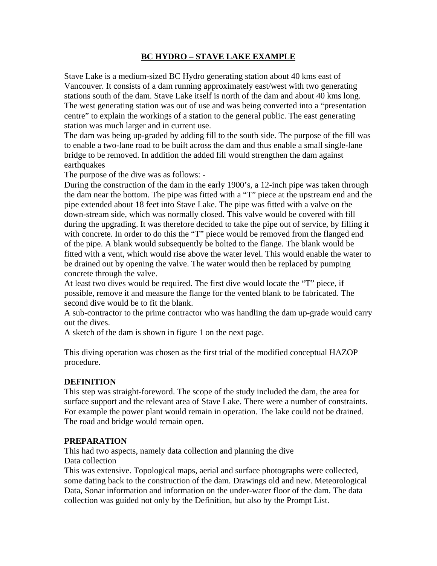## **BC HYDRO – STAVE LAKE EXAMPLE**

Stave Lake is a medium-sized BC Hydro generating station about 40 kms east of Vancouver. It consists of a dam running approximately east/west with two generating stations south of the dam. Stave Lake itself is north of the dam and about 40 kms long. The west generating station was out of use and was being converted into a "presentation centre" to explain the workings of a station to the general public. The east generating station was much larger and in current use.

The dam was being up-graded by adding fill to the south side. The purpose of the fill was to enable a two-lane road to be built across the dam and thus enable a small single-lane bridge to be removed. In addition the added fill would strengthen the dam against earthquakes

The purpose of the dive was as follows: -

During the construction of the dam in the early 1900's, a 12-inch pipe was taken through the dam near the bottom. The pipe was fitted with a "T" piece at the upstream end and the pipe extended about 18 feet into Stave Lake. The pipe was fitted with a valve on the down-stream side, which was normally closed. This valve would be covered with fill during the upgrading. It was therefore decided to take the pipe out of service, by filling it with concrete. In order to do this the "T" piece would be removed from the flanged end of the pipe. A blank would subsequently be bolted to the flange. The blank would be fitted with a vent, which would rise above the water level. This would enable the water to be drained out by opening the valve. The water would then be replaced by pumping concrete through the valve.

At least two dives would be required. The first dive would locate the "T" piece, if possible, remove it and measure the flange for the vented blank to be fabricated. The second dive would be to fit the blank.

A sub-contractor to the prime contractor who was handling the dam up-grade would carry out the dives.

A sketch of the dam is shown in figure 1 on the next page.

This diving operation was chosen as the first trial of the modified conceptual HAZOP procedure.

#### **DEFINITION**

This step was straight-foreword. The scope of the study included the dam, the area for surface support and the relevant area of Stave Lake. There were a number of constraints. For example the power plant would remain in operation. The lake could not be drained. The road and bridge would remain open.

#### **PREPARATION**

This had two aspects, namely data collection and planning the dive Data collection

This was extensive. Topological maps, aerial and surface photographs were collected, some dating back to the construction of the dam. Drawings old and new. Meteorological Data, Sonar information and information on the under-water floor of the dam. The data collection was guided not only by the Definition, but also by the Prompt List.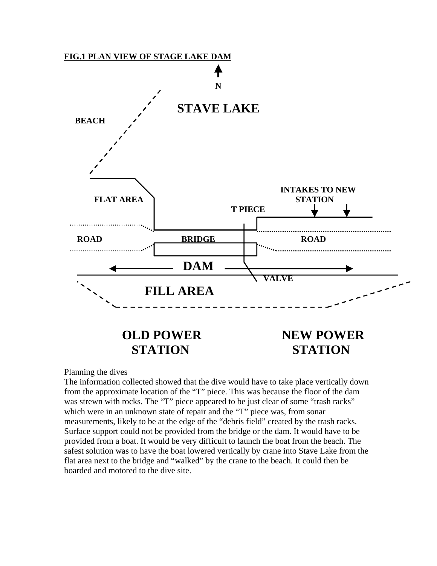

Planning the dives

The information collected showed that the dive would have to take place vertically down from the approximate location of the "T" piece. This was because the floor of the dam was strewn with rocks. The "T" piece appeared to be just clear of some "trash racks" which were in an unknown state of repair and the "T" piece was, from sonar measurements, likely to be at the edge of the "debris field" created by the trash racks. Surface support could not be provided from the bridge or the dam. It would have to be provided from a boat. It would be very difficult to launch the boat from the beach. The safest solution was to have the boat lowered vertically by crane into Stave Lake from the flat area next to the bridge and "walked" by the crane to the beach. It could then be boarded and motored to the dive site.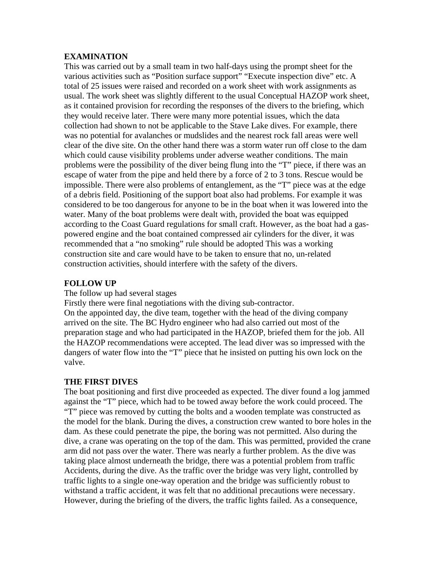#### **EXAMINATION**

This was carried out by a small team in two half-days using the prompt sheet for the various activities such as "Position surface support" "Execute inspection dive" etc. A total of 25 issues were raised and recorded on a work sheet with work assignments as usual. The work sheet was slightly different to the usual Conceptual HAZOP work sheet, as it contained provision for recording the responses of the divers to the briefing, which they would receive later. There were many more potential issues, which the data collection had shown to not be applicable to the Stave Lake dives. For example, there was no potential for avalanches or mudslides and the nearest rock fall areas were well clear of the dive site. On the other hand there was a storm water run off close to the dam which could cause visibility problems under adverse weather conditions. The main problems were the possibility of the diver being flung into the "T" piece, if there was an escape of water from the pipe and held there by a force of 2 to 3 tons. Rescue would be impossible. There were also problems of entanglement, as the "T" piece was at the edge of a debris field. Positioning of the support boat also had problems. For example it was considered to be too dangerous for anyone to be in the boat when it was lowered into the water. Many of the boat problems were dealt with, provided the boat was equipped according to the Coast Guard regulations for small craft. However, as the boat had a gaspowered engine and the boat contained compressed air cylinders for the diver, it was recommended that a "no smoking" rule should be adopted This was a working construction site and care would have to be taken to ensure that no, un-related construction activities, should interfere with the safety of the divers.

## **FOLLOW UP**

#### The follow up had several stages

Firstly there were final negotiations with the diving sub-contractor. On the appointed day, the dive team, together with the head of the diving company arrived on the site. The BC Hydro engineer who had also carried out most of the preparation stage and who had participated in the HAZOP, briefed them for the job. All the HAZOP recommendations were accepted. The lead diver was so impressed with the dangers of water flow into the "T" piece that he insisted on putting his own lock on the valve.

## **THE FIRST DIVES**

The boat positioning and first dive proceeded as expected. The diver found a log jammed against the "T" piece, which had to be towed away before the work could proceed. The "T" piece was removed by cutting the bolts and a wooden template was constructed as the model for the blank. During the dives, a construction crew wanted to bore holes in the dam. As these could penetrate the pipe, the boring was not permitted. Also during the dive, a crane was operating on the top of the dam. This was permitted, provided the crane arm did not pass over the water. There was nearly a further problem. As the dive was taking place almost underneath the bridge, there was a potential problem from traffic Accidents, during the dive. As the traffic over the bridge was very light, controlled by traffic lights to a single one-way operation and the bridge was sufficiently robust to withstand a traffic accident, it was felt that no additional precautions were necessary. However, during the briefing of the divers, the traffic lights failed. As a consequence,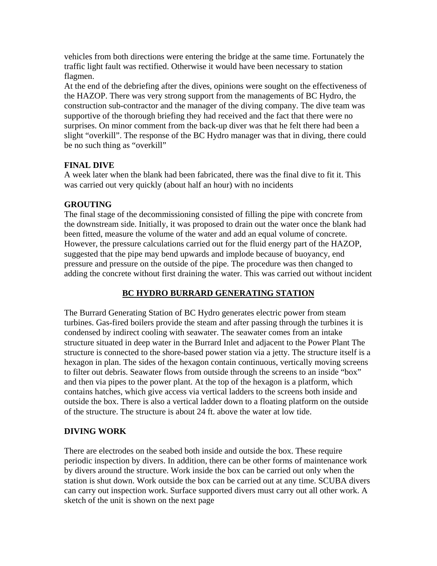vehicles from both directions were entering the bridge at the same time. Fortunately the traffic light fault was rectified. Otherwise it would have been necessary to station flagmen.

At the end of the debriefing after the dives, opinions were sought on the effectiveness of the HAZOP. There was very strong support from the managements of BC Hydro, the construction sub-contractor and the manager of the diving company. The dive team was supportive of the thorough briefing they had received and the fact that there were no surprises. On minor comment from the back-up diver was that he felt there had been a slight "overkill". The response of the BC Hydro manager was that in diving, there could be no such thing as "overkill"

## **FINAL DIVE**

A week later when the blank had been fabricated, there was the final dive to fit it. This was carried out very quickly (about half an hour) with no incidents

## **GROUTING**

The final stage of the decommissioning consisted of filling the pipe with concrete from the downstream side. Initially, it was proposed to drain out the water once the blank had been fitted, measure the volume of the water and add an equal volume of concrete. However, the pressure calculations carried out for the fluid energy part of the HAZOP, suggested that the pipe may bend upwards and implode because of buoyancy, end pressure and pressure on the outside of the pipe. The procedure was then changed to adding the concrete without first draining the water. This was carried out without incident

# **BC HYDRO BURRARD GENERATING STATION**

The Burrard Generating Station of BC Hydro generates electric power from steam turbines. Gas-fired boilers provide the steam and after passing through the turbines it is condensed by indirect cooling with seawater. The seawater comes from an intake structure situated in deep water in the Burrard Inlet and adjacent to the Power Plant The structure is connected to the shore-based power station via a jetty. The structure itself is a hexagon in plan. The sides of the hexagon contain continuous, vertically moving screens to filter out debris. Seawater flows from outside through the screens to an inside "box" and then via pipes to the power plant. At the top of the hexagon is a platform, which contains hatches, which give access via vertical ladders to the screens both inside and outside the box. There is also a vertical ladder down to a floating platform on the outside of the structure. The structure is about 24 ft. above the water at low tide.

## **DIVING WORK**

There are electrodes on the seabed both inside and outside the box. These require periodic inspection by divers. In addition, there can be other forms of maintenance work by divers around the structure. Work inside the box can be carried out only when the station is shut down. Work outside the box can be carried out at any time. SCUBA divers can carry out inspection work. Surface supported divers must carry out all other work. A sketch of the unit is shown on the next page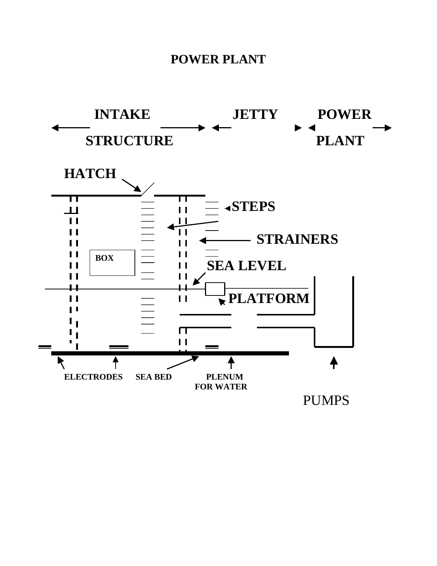# **POWER PLANT**

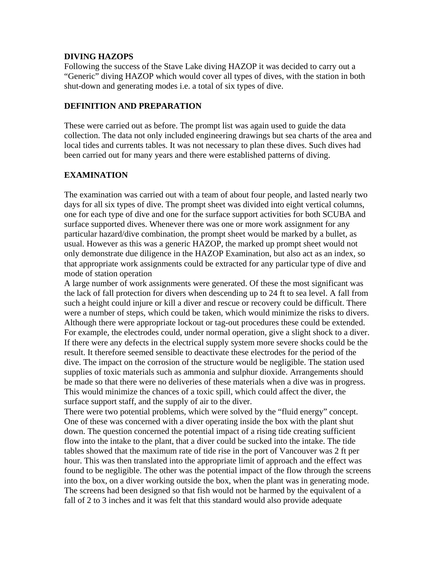#### **DIVING HAZOPS**

Following the success of the Stave Lake diving HAZOP it was decided to carry out a "Generic" diving HAZOP which would cover all types of dives, with the station in both shut-down and generating modes i.e. a total of six types of dive.

## **DEFINITION AND PREPARATION**

These were carried out as before. The prompt list was again used to guide the data collection. The data not only included engineering drawings but sea charts of the area and local tides and currents tables. It was not necessary to plan these dives. Such dives had been carried out for many years and there were established patterns of diving.

## **EXAMINATION**

The examination was carried out with a team of about four people, and lasted nearly two days for all six types of dive. The prompt sheet was divided into eight vertical columns, one for each type of dive and one for the surface support activities for both SCUBA and surface supported dives. Whenever there was one or more work assignment for any particular hazard/dive combination, the prompt sheet would be marked by a bullet, as usual. However as this was a generic HAZOP, the marked up prompt sheet would not only demonstrate due diligence in the HAZOP Examination, but also act as an index, so that appropriate work assignments could be extracted for any particular type of dive and mode of station operation

A large number of work assignments were generated. Of these the most significant was the lack of fall protection for divers when descending up to 24 ft to sea level. A fall from such a height could injure or kill a diver and rescue or recovery could be difficult. There were a number of steps, which could be taken, which would minimize the risks to divers. Although there were appropriate lockout or tag-out procedures these could be extended. For example, the electrodes could, under normal operation, give a slight shock to a diver. If there were any defects in the electrical supply system more severe shocks could be the result. It therefore seemed sensible to deactivate these electrodes for the period of the dive. The impact on the corrosion of the structure would be negligible. The station used supplies of toxic materials such as ammonia and sulphur dioxide. Arrangements should be made so that there were no deliveries of these materials when a dive was in progress. This would minimize the chances of a toxic spill, which could affect the diver, the surface support staff, and the supply of air to the diver.

There were two potential problems, which were solved by the "fluid energy" concept. One of these was concerned with a diver operating inside the box with the plant shut down. The question concerned the potential impact of a rising tide creating sufficient flow into the intake to the plant, that a diver could be sucked into the intake. The tide tables showed that the maximum rate of tide rise in the port of Vancouver was 2 ft per hour. This was then translated into the appropriate limit of approach and the effect was found to be negligible. The other was the potential impact of the flow through the screens into the box, on a diver working outside the box, when the plant was in generating mode. The screens had been designed so that fish would not be harmed by the equivalent of a fall of 2 to 3 inches and it was felt that this standard would also provide adequate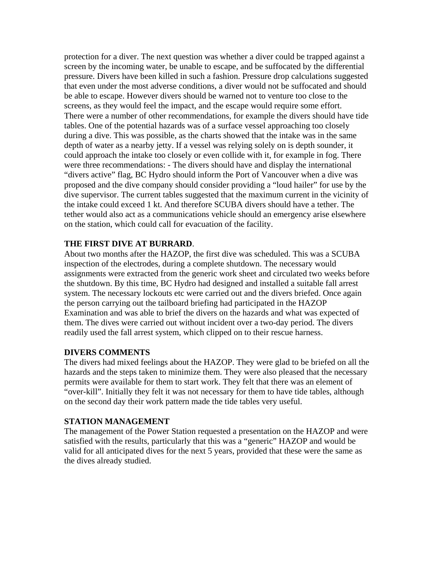protection for a diver. The next question was whether a diver could be trapped against a screen by the incoming water, be unable to escape, and be suffocated by the differential pressure. Divers have been killed in such a fashion. Pressure drop calculations suggested that even under the most adverse conditions, a diver would not be suffocated and should be able to escape. However divers should be warned not to venture too close to the screens, as they would feel the impact, and the escape would require some effort. There were a number of other recommendations, for example the divers should have tide tables. One of the potential hazards was of a surface vessel approaching too closely during a dive. This was possible, as the charts showed that the intake was in the same depth of water as a nearby jetty. If a vessel was relying solely on is depth sounder, it could approach the intake too closely or even collide with it, for example in fog. There were three recommendations: - The divers should have and display the international "divers active" flag, BC Hydro should inform the Port of Vancouver when a dive was proposed and the dive company should consider providing a "loud hailer" for use by the dive supervisor. The current tables suggested that the maximum current in the vicinity of the intake could exceed 1 kt. And therefore SCUBA divers should have a tether. The tether would also act as a communications vehicle should an emergency arise elsewhere on the station, which could call for evacuation of the facility.

## **THE FIRST DIVE AT BURRARD**.

About two months after the HAZOP, the first dive was scheduled. This was a SCUBA inspection of the electrodes, during a complete shutdown. The necessary would assignments were extracted from the generic work sheet and circulated two weeks before the shutdown. By this time, BC Hydro had designed and installed a suitable fall arrest system. The necessary lockouts etc were carried out and the divers briefed. Once again the person carrying out the tailboard briefing had participated in the HAZOP Examination and was able to brief the divers on the hazards and what was expected of them. The dives were carried out without incident over a two-day period. The divers readily used the fall arrest system, which clipped on to their rescue harness.

#### **DIVERS COMMENTS**

The divers had mixed feelings about the HAZOP. They were glad to be briefed on all the hazards and the steps taken to minimize them. They were also pleased that the necessary permits were available for them to start work. They felt that there was an element of "over-kill". Initially they felt it was not necessary for them to have tide tables, although on the second day their work pattern made the tide tables very useful.

#### **STATION MANAGEMENT**

The management of the Power Station requested a presentation on the HAZOP and were satisfied with the results, particularly that this was a "generic" HAZOP and would be valid for all anticipated dives for the next 5 years, provided that these were the same as the dives already studied.